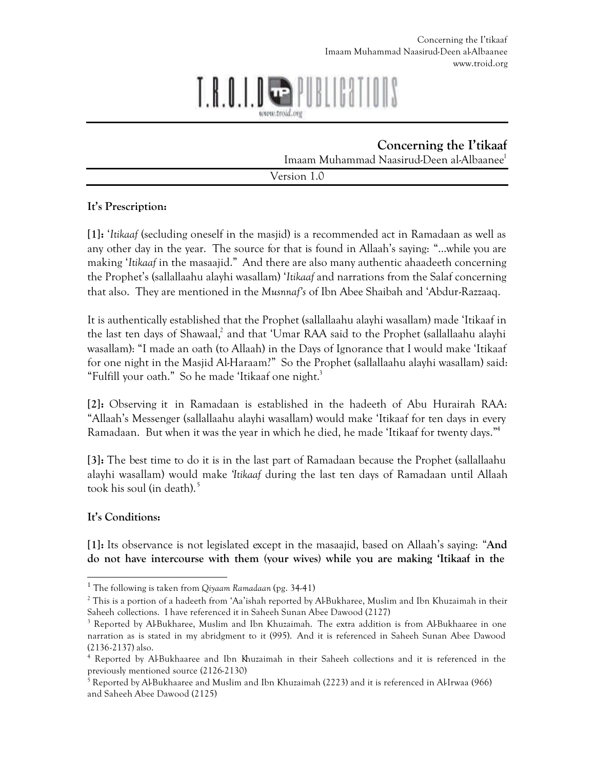# 10 II T.K.U.T.

**Concerning the I'tikaaf** Imaam Muhammad Naasirud-Deen al-Albaanee<sup>1</sup>

Version 1.0

## **It's Prescription:**

**[1]:** '*Itikaaf* (secluding oneself in the masjid) is a recommended act in Ramadaan as well as any other day in the year. The source for that is found in Allaah's saying: "…while you are making '*Itikaaf* in the masaajid." And there are also many authentic ahaadeeth concerning the Prophet's (sallallaahu alayhi wasallam) '*Itikaaf* and narrations from the Salaf concerning that also. They are mentioned in the *Musnnaf's* of Ibn Abee Shaibah and 'Abdur-Razzaaq.

It is authentically established that the Prophet (sallallaahu alayhi wasallam) made 'Itikaaf in the last ten days of Shawaal,<sup>2</sup> and that 'Umar RAA said to the Prophet (sallallaahu alayhi wasallam): "I made an oath (to Allaah) in the Days of Ignorance that I would make 'Itikaaf for one night in the Masjid Al-Haraam?" So the Prophet (sallallaahu alayhi wasallam) said: "Fulfill your oath." So he made 'Itikaaf one night.<sup>3</sup>

**[2]:** Observing it in Ramadaan is established in the hadeeth of Abu Hurairah RAA: "Allaah's Messenger (sallallaahu alayhi wasallam) would make 'Itikaaf for ten days in every Ramadaan. But when it was the year in which he died, he made 'Itikaaf for twenty days."<sup>4</sup>

**[3]:** The best time to do it is in the last part of Ramadaan because the Prophet (sallallaahu alayhi wasallam) would make '*Itikaaf* during the last ten days of Ramadaan until Allaah took his soul (in death). $5$ 

## **It's Conditions:**

**[1]:** Its observance is not legislated except in the masaajid, based on Allaah's saying: "**And do not have intercourse with them (your wives) while you are making 'Itikaaf in the** 

 1 The following is taken from *Qiyaam Ramadaan* (pg. 34-41)

 $^2$  This is a portion of a hadeeth from 'Aa'ishah reported by Al-Bukharee, Muslim and Ibn Khuzaimah in their Saheeh collections. I have referenced it in Saheeh Sunan Abee Dawood (2127)

<sup>&</sup>lt;sup>3</sup> Reported by Al-Bukharee, Muslim and Ibn Khuzaimah. The extra addition is from Al-Bukhaaree in one narration as is stated in my abridgment to it (995). And it is referenced in Saheeh Sunan Abee Dawood (2136-2137) also.

<sup>4</sup> Reported by Al-Bukhaaree and Ibn Khuzaimah in their Saheeh collections and it is referenced in the previously mentioned source (2126-2130)

 $^5$  Reported by Al-Bukhaaree and Muslim and Ibn Khuzaimah (2223) and it is referenced in Al-Irwaa (966) and Saheeh Abee Dawood (2125)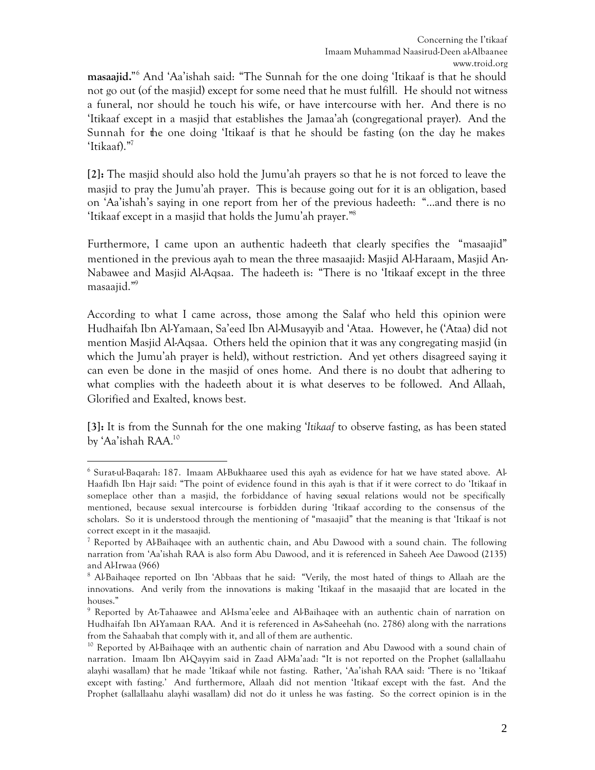**masaajid.**" 6 And 'Aa'ishah said: "The Sunnah for the one doing 'Itikaaf is that he should not go out (of the masjid) except for some need that he must fulfill. He should not witness a funeral, nor should he touch his wife, or have intercourse with her. And there is no 'Itikaaf except in a masjid that establishes the Jamaa'ah (congregational prayer). And the Sunnah for the one doing 'Itikaaf is that he should be fasting (on the day he makes 'Itikaaf)."<sup>7</sup>

**[2]:** The masjid should also hold the Jumu'ah prayers so that he is not forced to leave the masjid to pray the Jumu'ah prayer. This is because going out for it is an obligation, based on 'Aa'ishah's saying in one report from her of the previous hadeeth: "…and there is no 'Itikaaf except in a masjid that holds the Jumu'ah prayer."<sup>8</sup>

Furthermore, I came upon an authentic hadeeth that clearly specifies the "masaajid" mentioned in the previous ayah to mean the three masaajid: Masjid Al-Haraam, Masjid An-Nabawee and Masjid Al-Aqsaa. The hadeeth is: "There is no 'Itikaaf except in the three masaajid."<sup>9</sup>

According to what I came across, those among the Salaf who held this opinion were Hudhaifah Ibn Al-Yamaan, Sa'eed Ibn Al-Musayyib and 'Ataa. However, he ('Ataa) did not mention Masjid Al-Aqsaa. Others held the opinion that it was any congregating masjid (in which the Jumu'ah prayer is held), without restriction. And yet others disagreed saying it can even be done in the masjid of ones home. And there is no doubt that adhering to what complies with the hadeeth about it is what deserves to be followed. And Allaah, Glorified and Exalted, knows best.

**[3]:** It is from the Sunnah for the one making '*Itikaaf* to observe fasting, as has been stated by 'Aa'ishah RAA.<sup>10</sup>

 $\overline{a}$ 6 Surat-ul-Baqarah: 187. Imaam Al-Bukhaaree used this ayah as evidence for hat we have stated above. Al-Haafidh Ibn Hajr said: "The point of evidence found in this ayah is that if it were correct to do 'Itikaaf in someplace other than a masjid, the forbiddance of having sexual relations would not be specifically mentioned, because sexual intercourse is forbidden during 'Itikaaf according to the consensus of the scholars. So it is understood through the mentioning of "masaajid" that the meaning is that 'Itikaaf is not correct except in it the masaajid.

<sup>&</sup>lt;sup>7</sup> Reported by Al-Baihaqee with an authentic chain, and Abu Dawood with a sound chain. The following narration from 'Aa'ishah RAA is also form Abu Dawood, and it is referenced in Saheeh Aee Dawood (2135) and Al-Irwaa (966)

<sup>&</sup>lt;sup>8</sup> Al-Baihaqee reported on Ibn 'Abbaas that he said: "Verily, the most hated of things to Allaah are the innovations. And verily from the innovations is making 'Itikaaf in the masaajid that are located in the houses."

<sup>9</sup> Reported by At-Tahaawee and Al-Isma'eelee and Al-Baihaqee with an authentic chain of narration on Hudhaifah Ibn Al-Yamaan RAA. And it is referenced in As-Saheehah (no. 2786) along with the narrations from the Sahaabah that comply with it, and all of them are authentic.

<sup>&</sup>lt;sup>10</sup> Reported by Al-Baihaqee with an authentic chain of narration and Abu Dawood with a sound chain of narration. Imaam Ibn Al-Qayyim said in Zaad Al-Ma'aad: "It is not reported on the Prophet (sallallaahu alayhi wasallam) that he made 'Itikaaf while not fasting. Rather, 'Aa'ishah RAA said: 'There is no 'Itikaaf except with fasting.' And furthermore, Allaah did not mention 'Itikaaf except with the fast. And the Prophet (sallallaahu alayhi wasallam) did not do it unless he was fasting. So the correct opinion is in the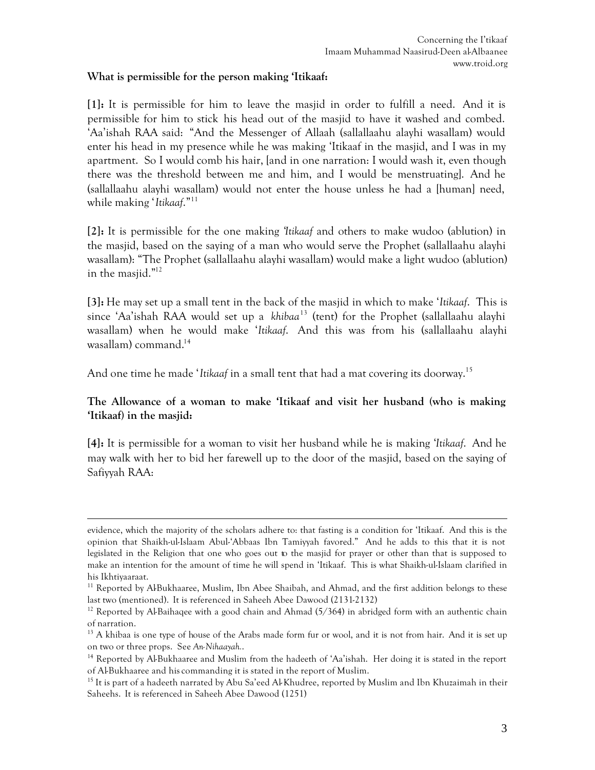#### **What is permissible for the person making 'Itikaaf:**

**[1]:** It is permissible for him to leave the masjid in order to fulfill a need. And it is permissible for him to stick his head out of the masjid to have it washed and combed. 'Aa'ishah RAA said: "And the Messenger of Allaah (sallallaahu alayhi wasallam) would enter his head in my presence while he was making 'Itikaaf in the masjid, and I was in my apartment. So I would comb his hair, [and in one narration: I would wash it, even though there was the threshold between me and him, and I would be menstruating]. And he (sallallaahu alayhi wasallam) would not enter the house unless he had a [human] need, while making '*Itikaaf*."<sup>11</sup>

**[2]:** It is permissible for the one making '*Itikaaf* and others to make wudoo (ablution) in the masjid, based on the saying of a man who would serve the Prophet (sallallaahu alayhi wasallam): "The Prophet (sallallaahu alayhi wasallam) would make a light wudoo (ablution) in the masjid."<sup>12</sup>

**[3]:** He may set up a small tent in the back of the masjid in which to make '*Itikaaf*. This is since 'Aa'ishah RAA would set up a *khibaa*<sup>13</sup> (tent) for the Prophet (sallallaahu alayhi wasallam) when he would make '*Itikaaf*. And this was from his (sallallaahu alayhi wasallam) command.<sup>14</sup>

And one time he made '*Itikaaf* in a small tent that had a mat covering its doorway.<sup>15</sup>

#### **The Allowance of a woman to make 'Itikaaf and visit her husband (who is making 'Itikaaf) in the masjid:**

**[4]:** It is permissible for a woman to visit her husband while he is making '*Itikaaf*. And he may walk with her to bid her farewell up to the door of the masjid, based on the saying of Safiyyah RAA:

 $\overline{a}$ evidence, which the majority of the scholars adhere to: that fasting is a condition for 'Itikaaf. And this is the opinion that Shaikh-ul-Islaam Abul-'Abbaas Ibn Tamiyyah favored." And he adds to this that it is not legislated in the Religion that one who goes out to the masjid for prayer or other than that is supposed to make an intention for the amount of time he will spend in 'Itikaaf. This is what Shaikh-ul-Islaam clarified in his Ikhtiyaaraat.

<sup>&</sup>lt;sup>11</sup> Reported by Al-Bukhaaree, Muslim, Ibn Abee Shaibah, and Ahmad, and the first addition belongs to these last two (mentioned). It is referenced in Saheeh Abee Dawood (2131-2132)

<sup>&</sup>lt;sup>12</sup> Reported by Al-Baihagee with a good chain and Ahmad  $(5/364)$  in abridged form with an authentic chain of narration.

<sup>&</sup>lt;sup>13</sup> A khibaa is one type of house of the Arabs made form fur or wool, and it is not from hair. And it is set up on two or three props. See *An-Nihaayah.*.

<sup>&</sup>lt;sup>14</sup> Reported by Al-Bukhaaree and Muslim from the hadeeth of 'Aa'ishah. Her doing it is stated in the report of Al-Bukhaaree and his commanding it is stated in the report of Muslim.

<sup>&</sup>lt;sup>15</sup> It is part of a hadeeth narrated by Abu Sa'eed Al-Khudree, reported by Muslim and Ibn Khuzaimah in their Saheehs. It is referenced in Saheeh Abee Dawood (1251)